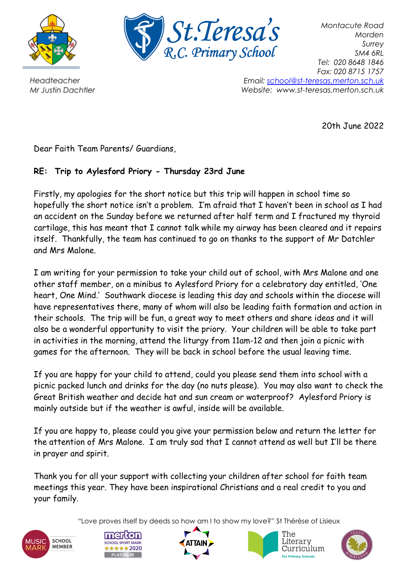



*Montacute Road Morden Surrey SM4 6RL Tel: 020 8648 1846 Fax: 020 8715 1757 Email: [school@st-teresas.merton.sch.uk](mailto:school@st-teresas.merton.sch.uk) Website: www.st-teresas.merton.sch.uk*

20th June 2022

Headteacher Mr Justin Dachtler

Dear Faith Team Parents/ Guardians,

## **RE: Trip to Aylesford Priory - Thursday 23rd June**

Firstly, my apologies for the short notice but this trip will happen in school time so hopefully the short notice isn't a problem. I'm afraid that I haven't been in school as I had an accident on the Sunday before we returned after half term and I fractured my thyroid cartilage, this has meant that I cannot talk while my airway has been cleared and it repairs itself. Thankfully, the team has continued to go on thanks to the support of Mr Datchler and Mrs Malone.

I am writing for your permission to take your child out of school, with Mrs Malone and one other staff member, on a minibus to Aylesford Priory for a celebratory day entitled, 'One heart, One Mind.' Southwark diocese is leading this day and schools within the diocese will have representatives there, many of whom will also be leading faith formation and action in their schools. The trip will be fun, a great way to meet others and share ideas and it will also be a wonderful opportunity to visit the priory. Your children will be able to take part in activities in the morning, attend the liturgy from 11am-12 and then join a picnic with games for the afternoon. They will be back in school before the usual leaving time.

If you are happy for your child to attend, could you please send them into school with a picnic packed lunch and drinks for the day (no nuts please). You may also want to check the Great British weather and decide hat and sun cream or waterproof? Aylesford Priory is mainly outside but if the weather is awful, inside will be available.

If you are happy to, please could you give your permission below and return the letter for the attention of Mrs Malone. I am truly sad that I cannot attend as well but I'll be there in prayer and spirit.

Thank you for all your support with collecting your children after school for faith team meetings this year. They have been inspirational Christians and a real credit to you and your family.

"Love proves itself by deeds so how am I to show my love?" St Thérèse of Lisieux